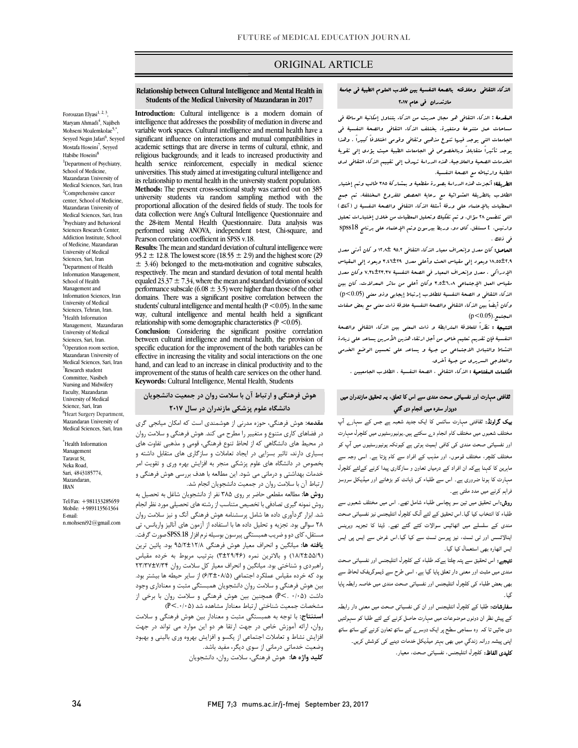### ORIGINAL ARTICLE

### الذکاء الثقافی وعلاقته بالصحۀ النفسیۀ بین طلاب العلوم الطبیۀ فی جامعۀ مازندران فی عام 2017

ص

 المقدمۀ **:** الذکاء الثقافی هو مجال حدیث من الذکاء یتناول إمکانیۀ الوساطۀ فی مساحات عمل متنوعۀ ومتغیرۀ. یختلف الذکاء الثقافی والصحۀ النفسیۀ فی<br>مساحات عمل متنوعۀ ومتغیرۀ. یوجد تأثیراً متقابلاً وبالخصوص فی الجامعات الطبیۀ حیث یؤدي إلى تقویۀ الخدمات الصحیۀ والعلاجیۀ. هذه الدراسۀ تهدف إلى تقییم الذکاء الثقافی لدى الطلبۀ وارتباطه مع الصحۀ النفسیۀ. الجامعات التی یوجد فیها تنوع مذهبی وثقافی وقومی اختلافاً کبیراً . وهذا

 الطریقۀ: أنجزت هذه الدراسۀ بصورة مقطعیۀ و بمشارکۀ 385 طالب وتم إختیار الطلاب بالطریقۀ العشوائیۀ مع رعایۀ الحصص للفروع المختلفۀ. تم جمع المعطیات بالإعتماد على ورقۀ أسئلۀ الذکاء الثقافی والصحۀ النفسیۀ ل (آنک) وی مستقل، او قالت با معرف کنسین، مستقل، مستقل، مستقل، مستقل، مستقل، مستقل،<br>وارنیس، t مستقل، کای دو، وربط بیرسون وتم الإعتماد علی برنامج spss18 التی تتضمن 28 سؤال، و تم تفکیک وتحلیل المعطیات من خلال إختبارات تحلیل فی ذلك

 الحاصل: کان معدل وإنحراف معیار الذکاء الثقافی 95,2 12,8± و کان أدنى معدل 18,55±2,9 ویعود إلى مقیاس الحث وأعلى معدل 3,46±29 ویعود إلى المقیاس الإدراکی . معدل وإنحراف المعیار فی الصحۀ النفسیۀ 7,34±23,37 وکان معدل مقیاس العمل الإجتماعی 3,5±6,08 وکان أعلى من سائر المعدلات. کان بین وکان أیضاً بین الذکاء الثقافی والصحۀ النفسیۀ علاقۀ ذات معنى مع بعض صفات<br>المعنى (0.15 – 0.2) الذکاء الثقافی و الصحۀ النفسیۀ للطلاب إرتباط إیجابی وذو معنى (0.05>p(  $(p < 0.05)$ . البجتيع

 النتیجۀ : نظراً للعلاقۀ المترابطۀ و ذات المعنى بین الذکاء الثقافی والصحۀ النفسیۀ فإن تقدیم تعلیم خاص من أجل ارتقاء هذین الأمرین یساعد على زیادة النشاط والتبادل الاجتماعی من جهۀ و یساعد على تحسین الوضع الخدمی والعلاجی السریري من جهۀ أخرى.

**الكلدات المفتاحیۀ :** الذکاء الثقافی ، الصحۀ النفسیۀ ، الطلاب الجامعیین .<br>.

### رت اور ی اس ، زران دوہزار سترہ میں انجام دی گئی

 او: رت ا رے آپ یہ – سہیں۔<br>مختلف شعبوں میں مختلف کام انجام دے سکتے ہیں۔یونیورسٹیوں میں کلچرل مہارت اور ی ا رں آپ ۔<br>مختلف کلچر، مختلف قوموں، اور مذہب کے افراد سے کام پڑتا ہے۔ اسی وجہ سے ماہرین کا کہنا ہےکہ ان افراد کے درمیاں تعاون و سازگاری پیدا کرنے کےلئے کلچرل مہارت کا ہونا ضروری ہے۔ اس سے طلباء کی ذہانت کو بڑھانے اور میڈیکل سروسز فراہم کرنے میں مدد ملتی ہے ۔

**روش:**اس تحقیق میں تین سو پچاسی طلباء شامل تھے۔ اس میں مختلف شعبوں سے طلباء کا انتخاب کیا گیا۔اس تحقیق کے لئے آنگ کلچرل انٹلیجنس نیز نفسیاتی صحت مندی کے سلسلے میں اٹھائیس سوالات کئے گئے تھے۔ ڈیٹا کا تجزیہ ویرینس بیدر سس <sub>'</sub>رر <sub>سی</sub> سست' نیر پیر۔۔<br>ایس اٹھارہ بھی استعمال کیا گیا۔ اینالائسس اور ٹی ٹسٹ، نیز پیرسن ٹسٹ سے کیا گیا۔اس غرض سے ایس پی ایس

۔<br>ل**تیجے:** اس تحقیق سے پتہ چلتا ہےکہ طلباء کے کلچرل انٹلیجنس اور نفسیاتی صحت مندی میں مثبت اور معنی دار تعلق پایا گیا ہے، اسی طرح سے ڈیموگریفک لحاظ سے بھی بعض طلباء کی کلچرل انٹلیجنس اور نفسیاتی صحت مندی میں خاصہ رابطہ پایا گیا۔

**سفارشات:** طلبا کے کلچرل انٹلیجنس اور ان کی نفسیاتی صحت میں معنی دار رابطہ کے پیش نظر ان دونوں موضوعات میں مہارت حاصل کرنے کے لئے طلبا کو سہولتیں دی جائیں تا کہ وہ سماجی سطح پر ایک دوسر<sub>ے</sub> کے ساتھ تعاون کرنے کے ساتھ ساتھ اپنی پیشہ ورانہ زندگي میں بھی بہتر میڈیکل خدمات دینے کی کوشش کریں۔ **کلیدی الفاظ:** کلچرل انٹلیجنس، نفسیاتی صحت، معیار۔<br>-

#### **Relationship between Cultural Intelligence and Mental Health in Students of the Medical University of Mazandaran in 2017**

Ī

 **Introduction:** Cultural intelligence is a modern domain of intelligence that addresses the possibility of mediation in diverse and variable work spaces. Cultural intelligence and mental health have a academic settings that are diverse in terms of cultural, ethnic, and religious backgrounds; and it leads to increased productivity and universities. This study aimed at investigating cultural intelligence and its relationship to mental health in the university student population. university students via random sampling method with the data collection were Ang's Cultural Intelligence Questionnaire and the 28-item Mental Health Questionnaire. Data analysis was performed using ANOVA, independent t-test, Chi-square, and<br>Pearson correlation coefficient in SPSS v 18 significant influence on interactions and mutual compatibilities in health service reinforcement, especially in medical science **Methods:** The present cross-sectional study was carried out on 385 proportional allocation of the desired fields of study. The tools for Pearson correlation coefficient in SPSS v.18.

 **Results:** The mean and standard deviation of cultural intelligence were  $\pm$  3.46) belonged to the meta-motivation and cognitive subscales, respectively. The mean and standard deviation of total mental health performance subscale  $(6.08 \pm 3.5)$  were higher than those of the other domains. There was a significant positive correlation between the way, cultural intelligence and mental health held a significant relationship with some demographic characteristics ( $P < 0.05$ ).  $95.2 \pm 12.8$ . The lowest score (18.55  $\pm$  2.9) and the highest score (29) equaled 23.37  $\pm$  7.34, where the mean and standard deviation of social students' cultural intelligence and mental health ( $P < 0.05$ ). In the same

 between cultural intelligence and mental health, the provision of specific education for the improvement of the both variables can be hand, and can lead to an increase in clinical productivity and to the improvement of the status of health care services on the other hand. **Conclusion:** Considering the significant positive correlation effective in increasing the vitality and social interactions on the one **Keywords:** Cultural Intelligence, Mental Health, Students

# **هوش فرهنگی و ارتباط آن با سلامت روان در جمعیت دانشجویان دانشگاه علوم پزشکی مازندران در سال 2017**

 **مقدمه:** هوش فرهنگی، حوزه مدرنی از هوشمندي است که امکان میانجی گري در محیط هاي دانشگاهی که از لحاظ تنوع فرهنگی، قومی و مذهبی تفاوت هاي بسیاري دارند، تاثیر بسزایی در ایجاد تعاملات و سازگاري هاي متقابل داشته و بخصوص در دانشگاه هاي علوم پزشکی منجر به افزایش بهره وري و تقویت امر ارتباط آن با سلامت روان در جمعیت دانشجویان انجام شد. در فضاهاي کاري متنوع و متغییر را مطرح می کند. هوش فرهنگی و سلامت روان خدمات بهداشتی و درمانی می شود. این مطالعه با هدف بررسی هوش فرهنگی و

 **روش ها:** مطالعه مقطعی حاضر بر روي 385 نفر از دانشجویان شاغل به تحصیل به روش نمونه گیري تصادفی با تخصیص متناسب از رشته هاي تحصیلی مورد نظر انجام شد. ابزار گردآوري داده ها شامل پرسشنامه هوش فرهنگی آنگ و نیز سلامت روان مستقل، کاي دو سيرست و سعي همبستگی پيرسون بوسيله نرم افزار .19SPS<br>مستقل، کاي دو و ضريب همبستگي پيرسون بوسيله نرم افزار SPSS.18 صورت گرفت. **یافته ها:** میانگین و انحراف معیار هوش فرهنگی 95/2±12/8 بود. پائین ترین (18/2±55/9) و بالاترین نمره (3±29/46) بترتیب مربوط به خرده مقیاس راهبردي و شناختی بود. میانگین و انحراف معیار کل سلامت روان 23/37±7/34 بود - - - رد- سیس عسر - بسته ی رست - - ۷۰۰ از سیر حیث - - بیستر بود.<br>بین هوش فرهنگی و سلامت روان دانشجویان همبستگی مثبت و معناداری وجود داشت (0/05 .>P (همچنین بین هوش فرهنگی و سلامت روان با برخی از مشخصات جمعیت شناختی ارتباط معنادار مشاهده شد (.0/05>P( 28 سوالی بود. تجزیه و تحلیل داده ها با استفاده از آزمون هاي آنالیز واریانس، تی بود که خرده مقیاس عملکرد اجتماعی (6/3±08/5) از سایر حیطه ها بیشتر بود.

 **استنتاج:** با توجه به همبستگی مثبت و معنادار بین هوش فرهنگی و سلامت افزایش نشاط و تعاملات اجتماعی از یکسو و افزایش بهروه وري بالینی و بهبود وضعیت خدماتی درمانی از سوي دیگر، مفید باشد. **کلید واژه ها:** هوش فرهنگی، سلامت روان، دانشجویان روان، ارائه آموزش خاص در جهت ارتقا هر دو این موارد می تواند در جهت

Forouzan Elyasi $^{1,\,2,\,3},$ Maryam Ahmadi<sup>4</sup>, Najibeh Mohseni Moalemkolae5, Seyyed Negin Jafari<sup>6</sup>, Seyyed Mostafa Hoseini<sup>7</sup>, Seyyed Habibe Hoseini<sup>8</sup> <sup>1</sup>Department of Psychiatry, School of Medicine, Mazandaran University of Medical Sciences, Sari, Iran <sup>2</sup>Comprehensive cancer center, School of Medicine, Mazandaran University of Medical Sciences, Sari, Iran <sup>3</sup>Psychiatry and Behavioral Sciences Research Center, Addiction Institute, School of Medicine, Mazandaran University of Medical Sciences, Sari, Iran 4 Department of Health Information Management, School of Health Management and Information Sciences, Iran University of Medical Sciences, Tehran, Iran. 5 Health Information Management, Mazandaran University of Medical Sciences, Sari, Iran. <sup>6</sup>Operation room section, Mazandaran University of Medical Sciences, Sari, Iran 7 Research student Committee, Nasibeh Nursing and Midwifery Faculty, Mazandaran University of Medical Science, Sari, Iran <sup>8</sup>Heart Surgery Department, Mazandaran University of Medical Sciences, Sari, Iran

\* Health Information Management Taravat St, Neka Road, Sari, 4843185774, Mazandaran, IRAN

Tel/Fax: +981133285659 Mobile: +989113561364 E-mail: n.mohseni92@gmail.com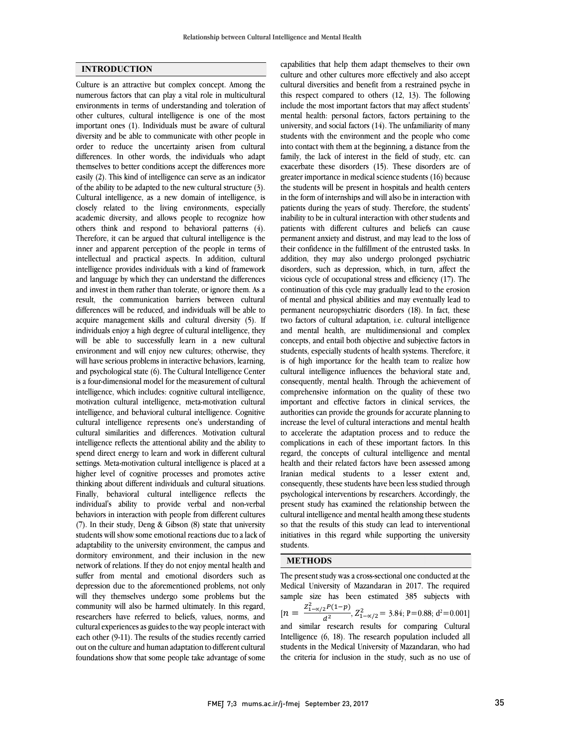### **INTRODUCTION**

Culture is an attractive but complex concept. Among the numerous factors that can play a vital role in multicultural environments in terms of understanding and toleration of other cultures, cultural intelligence is one of the most important ones (1). Individuals must be aware of cultural diversity and be able to communicate with other people in order to reduce the uncertainty arisen from cultural differences. In other words, the individuals who adapt themselves to better conditions accept the differences more easily (2). This kind of intelligence can serve as an indicator of the ability to be adapted to the new cultural structure (3). Cultural intelligence, as a new domain of intelligence, is closely related to the living environments, especially academic diversity, and allows people to recognize how others think and respond to behavioral patterns (4). Therefore, it can be argued that cultural intelligence is the inner and apparent perception of the people in terms of intellectual and practical aspects. In addition, cultural intelligence provides individuals with a kind of framework and language by which they can understand the differences and invest in them rather than tolerate, or ignore them. As a result, the communication barriers between cultural differences will be reduced, and individuals will be able to acquire management skills and cultural diversity (5). If individuals enjoy a high degree of cultural intelligence, they will be able to successfully learn in a new cultural environment and will enjoy new cultures; otherwise, they will have serious problems in interactive behaviors, learning, and psychological state (6). The Cultural Intelligence Center is a four-dimensional model for the measurement of cultural intelligence, which includes: cognitive cultural intelligence, motivation cultural intelligence, meta-motivation cultural intelligence, and behavioral cultural intelligence. Cognitive cultural intelligence represents one's understanding of cultural similarities and differences. Motivation cultural intelligence reflects the attentional ability and the ability to spend direct energy to learn and work in different cultural settings. Meta-motivation cultural intelligence is placed at a higher level of cognitive processes and promotes active thinking about different individuals and cultural situations. Finally, behavioral cultural intelligence reflects the individual's ability to provide verbal and non-verbal behaviors in interaction with people from different cultures (7). In their study, Deng & Gibson (8) state that university students will show some emotional reactions due to a lack of adaptability to the university environment, the campus and dormitory environment, and their inclusion in the new network of relations. If they do not enjoy mental health and suffer from mental and emotional disorders such as depression due to the aforementioned problems, not only will they themselves undergo some problems but the community will also be harmed ultimately. In this regard, researchers have referred to beliefs, values, norms, and cultural experiences as guides to the way people interact with each other (9-11). The results of the studies recently carried out on the culture and human adaptation to different cultural foundations show that some people take advantage of some

 culture and other cultures more effectively and also accept cultural diversities and benefit from a restrained psyche in this respect compared to others (12, 13). The following include the most important factors that may affect students' university, and social factors (14). The unfamiliarity of many students with the environment and the people who come into contact with them at the beginning, a distance from the family, the lack of interest in the field of study, etc. can greater importance in medical science students (16) because the students will be present in hospitals and health centers in the form of internships and will also be in interaction with patients during the years of study. Therefore, the students' patients with different cultures and beliefs can cause permanent anxiety and distrust, and may lead to the loss of their confidence in the fulfillment of the entrusted tasks. In addition, they may also undergo prolonged psychiatric vicious cycle of occupational stress and efficiency (17). The continuation of this cycle may gradually lead to the erosion of mental and physical abilities and may eventually lead to permanent neuropsychiatric disorders (18). In fact, these and mental health, are multidimensional and complex concepts, and entail both objective and subjective factors in students, especially students of health systems. Therefore, it is of high importance for the health team to realize how consequently, mental health. Through the achievement of comprehensive information on the quality of these two important and effective factors in clinical services, the authorities can provide the grounds for accurate planning to to accelerate the adaptation process and to reduce the complications in each of these important factors. In this regard, the concepts of cultural intelligence and mental health and their related factors have been assessed among consequently, these students have been less studied through psychological interventions by researchers. Accordingly, the present study has examined the relationship between the cultural intelligence and mental health among these students initiatives in this regard while supporting the university students. capabilities that help them adapt themselves to their own mental health: personal factors, factors pertaining to the exacerbate these disorders (15). These disorders are of inability to be in cultural interaction with other students and disorders, such as depression, which, in turn, affect the two factors of cultural adaptation, i.e. cultural intelligence cultural intelligence influences the behavioral state and, increase the level of cultural interactions and mental health Iranian medical students to a lesser extent and, so that the results of this study can lead to interventional

# **METHODS**

 The present study was a cross-sectional one conducted at the Medical University of Mazandaran in 2017. The required sample size has been estimated 385 subjects with  $[n = \frac{Z_{1-\alpha/2}^2 P(1-p)}{d^2}, Z_{1-\alpha/2}^2 = 3.84; P=0.88; d^2=0.001]$ Intelligence (6, 18). The research population included all students in the Medical University of Mazandaran, who had the criteria for inclusion in the study, such as no use of and similar research results for comparing Cultural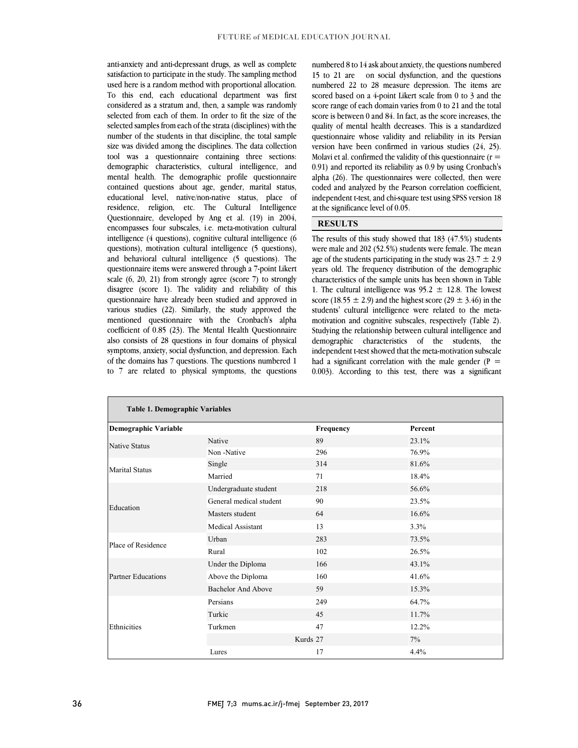anti-ansiety and anti-depressant drugs, as wen as complete satisfaction to participate in the study. The sampling method used here is a random method with proportional allocation. To this end, each educational department was first considered as a stratum and, then, a sample was randomly selected non-each of them. In order to in the size of the selected samples from each of the strata (disciplines) with the number of the students in that discipline, the total sample size was divided among the disciplines. The data collection tool was a questionnaire containing three sections: mental health. The demographic profile questionnaire contained questions about age, gender, marital status, educational level, native/non-native status, place of residence, religion, etc. The Cultural Intelligence encompasses four subscales, i.e. meta-motivation cultural intelligence (4 questions), cognitive cultural intelligence (6 questions), motivation cultural intelligence (5 questions), and behavioral cultural intelligence (5 questions). The scale (6, 20, 21) from strongly agree (score 7) to strongly disagree (score 1). The validity and reliability of this questionnaire have already been studied and approved in various studies (22). Similarly, the study approved the mentioned questionnaire with the Cronbach's alpha also consists of 28 questions in four domains of physical symptoms, anxiety, social dysfunction, and depression. Each of the domains has 7 questions. The questions numbered 1 to 7 are related to physical symptoms, the questions anti-anxiety and anti-depressant drugs, as well as complete selected from each of them. In order to fit the size of the demographic characteristics, cultural intelligence, and Questionnaire, developed by Ang et al. (19) in 2004, questionnaire items were answered through a 7-point Likert coefficient of 0.85 (23). The Mental Health Questionnaire

 15 to 21 are on social dysfunction, and the questions numbered 22 to 28 measure depression. The items are scored based on a 4-point Likert scale from 0 to 3 and the score range of each domain varies from 0 to 21 and the total score is between 0 and 84. In fact, as the score increases, the questionnaire whose validity and reliability in its Persian version have been confirmed in various studies (24, 25). Molavi et al. confirmed the validity of this questionnaire (r  $\equiv$  $\alpha$ .  $\beta$  and reported its reliability as  $\alpha$ .  $\beta$  by using eromatin's alpha (26). The questionnaires were collected, then were coded and analyzed by the Pearson correlation coefficient, independent t-test, and chi-square test using SPSS version 18 numbered 8 to 14 ask aboutanxiety, the questions numbered quality of mental health decreases. This is a standardized 0.91) and reported its reliability as 0.9 by using Cronbach's at the significance level of 0.05.

### **RESULTS**

 The results of this study showed that 183 (47.5%) students were male and 202 (52.5%) students were female. The mean age of the students participating in the study was  $23.7 \pm 2.9$  characteristics of the sample units has been shown in Table 1. The cultural intelligence was  $95.2 \pm 12.8$ . The lowest score (18.55  $\pm$  2.9) and the highest score (29  $\pm$  3.46) in the students' cultural intelligence were related to the meta- Studying the relationship between cultural intelligence and demographic characteristics of the students, the independent t-test showed that the meta-motivation subscale had a significant correlation with the male gender ( $P =$  0.003). According to this test, there was a significant years old. The frequency distribution of the demographic motivation and cognitive subscales, respectively (Table 2).

| <b>Table 1. Demographic Variables</b> |                         |           |         |  |  |
|---------------------------------------|-------------------------|-----------|---------|--|--|
| <b>Demographic Variable</b>           |                         | Frequency | Percent |  |  |
| <b>Native Status</b>                  | Native                  | 89        | 23.1%   |  |  |
|                                       | Non-Native              | 296       | 76.9%   |  |  |
| <b>Marital Status</b>                 | Single                  | 314       | 81.6%   |  |  |
|                                       | Married                 | 71        | 18.4%   |  |  |
| Education                             | Undergraduate student   | 218       | 56.6%   |  |  |
|                                       | General medical student | 90        | 23.5%   |  |  |
|                                       | Masters student         | 64        | 16.6%   |  |  |
|                                       | Medical Assistant       | 13        | 3.3%    |  |  |
| Place of Residence                    | Urban                   | 283       | 73.5%   |  |  |
|                                       | Rural                   | 102       | 26.5%   |  |  |
| <b>Partner Educations</b>             | Under the Diploma       | 166       | 43.1%   |  |  |
|                                       | Above the Diploma       | 160       | 41.6%   |  |  |
|                                       | Bachelor And Above      | 59        | 15.3%   |  |  |
| Ethnicities                           | Persians                | 249       | 64.7%   |  |  |
|                                       | Turkic                  | 45        | 11.7%   |  |  |
|                                       | Turkmen                 | 47        | 12.2%   |  |  |
|                                       |                         | Kurds 27  | 7%      |  |  |
|                                       | Lures                   | 17        | 4.4%    |  |  |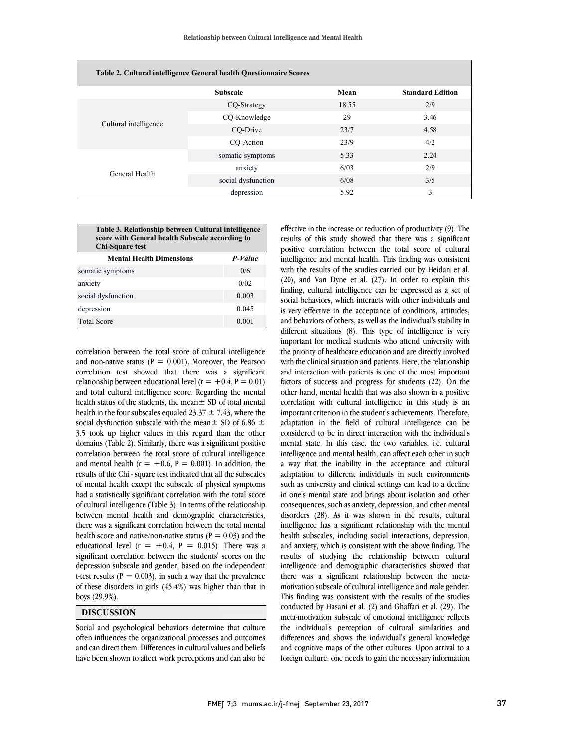| Table 2. Cultural intelligence General health Questionnaire Scores |                    |       |                         |  |  |  |
|--------------------------------------------------------------------|--------------------|-------|-------------------------|--|--|--|
|                                                                    | <b>Subscale</b>    | Mean  | <b>Standard Edition</b> |  |  |  |
|                                                                    | CQ-Strategy        | 18.55 | 2/9                     |  |  |  |
|                                                                    | CO-Knowledge       | 29    | 3.46                    |  |  |  |
| Cultural intelligence                                              | CO-Drive           | 23/7  | 4.58                    |  |  |  |
|                                                                    | CO-Action          | 23/9  | 4/2                     |  |  |  |
|                                                                    | somatic symptoms   | 5.33  | 2.24                    |  |  |  |
| General Health                                                     | anxiety            | 6/03  | 2/9                     |  |  |  |
|                                                                    | social dysfunction | 6/08  | 3/5                     |  |  |  |
|                                                                    | depression         | 5.92  | 3                       |  |  |  |

| Table 3. Relationship between Cultural intelligence<br>score with General health Subscale according to<br>Chi-Square test |  |  |  |
|---------------------------------------------------------------------------------------------------------------------------|--|--|--|
| P-Value                                                                                                                   |  |  |  |
| 0/6                                                                                                                       |  |  |  |
| 0/02                                                                                                                      |  |  |  |
|                                                                                                                           |  |  |  |

social dysfunction 0.003 depression 0.045 Total Score 0.001

correlation between the total score of cultural intelligence and non-native status ( $P = 0.001$ ). Moreover, the Pearson correlation test showed that there was a significant relationship between educational level ( $r = +0.4$ ,  $P = 0.01$ ) and total cultural intelligence score. Regarding the mental health status of the students, the mean± SD of total mental health in the four subscales equaled 23.37  $\pm$  7.43, where the social dysfunction subscale with the mean $\pm$  SD of 6.86  $\pm$ 3.5 took up higher values in this regard than the other domains (Table 2). Similarly, there was a significant positive correlation between the total score of cultural intelligence and mental health ( $r = +0.6$ ,  $P = 0.001$ ). In addition, the results of the Chi - square test indicated that all the subscales of mental health except the subscale of physical symptoms had a statistically significant correlation with the total score of cultural intelligence (Table 3). In terms of the relationship between mental health and demographic characteristics, there was a significant correlation between the total mental health score and native/non-native status ( $P = 0.03$ ) and the educational level  $(r = +0.4, P = 0.015)$ . There was a significant correlation between the students' scores on the depression subscale and gender, based on the independent t-test results ( $P = 0.003$ ), in such a way that the prevalence of these disorders in girls (45.4%) was higher than that in boys (29.9%).

## **DISCUSSION**

Social and psychological behaviors determine that culture often influences the organizational processes and outcomes and can direct them. Differences in cultural values and beliefs have been shown to affect work perceptions and can also be

 effective in the increase or reduction of productivity (9). The results of this study showed that there was a significant positive correlation between the total score of cultural intelligence and mental health. This finding was consistent (20), and Van Dyne et al. (27). In order to explain this finding, cultural intelligence can be expressed as a set of social behaviors, which interacts with other individuals and is very effective in the acceptance of conditions, attitudes, and behaviors of others, as well as the individual's stability in  $\mathbb{C}^n$  important for medical students who attend university with the priority of healthcare education and are directly involved with the clinical situation and patients. Here, the relationship factors of success and progress for students (22). On the other hand, mental health that was also shown in a positive correlation with cultural intelligence in this study is an important criterion in the student's achievements. Therefore, considered to be in direct interaction with the individual's mental state. In this case, the two variables, i.e. cultural intelligence and mental health, can affect each other in such a way that the inability in the acceptance and cultural such as university and clinical settings can lead to a decline in one's mental state and brings about isolation and other consequences, such as anxiety, depression, and other mental disorders (28). As it was shown in the results, cultural health subscales, including social interactions, depression, and anxiety, which is consistent with the above finding. The results of studying the relationship between cultural intelligence and demographic characteristics showed that motivation subscale of cultural intelligence and male gender. This finding was consistent with the results of the studies conducted by Hasani et al. (2) and Ghaffari et al. (29). The with the results of the studies carried out by Heidari et al. different situations (8). This type of intelligence is very and interaction with patients is one of the most important adaptation in the field of cultural intelligence can be adaptation to different individuals in such environments intelligence has a significant relationship with the mental there was a significant relationship between the metameta-motivation subscale of emotional intelligence reflects the individual's perception of cultural similarities and differences and shows the individual's general knowledge and cognitive maps of the other cultures. Upon arrival to a foreign culture, one needs to gain the necessary information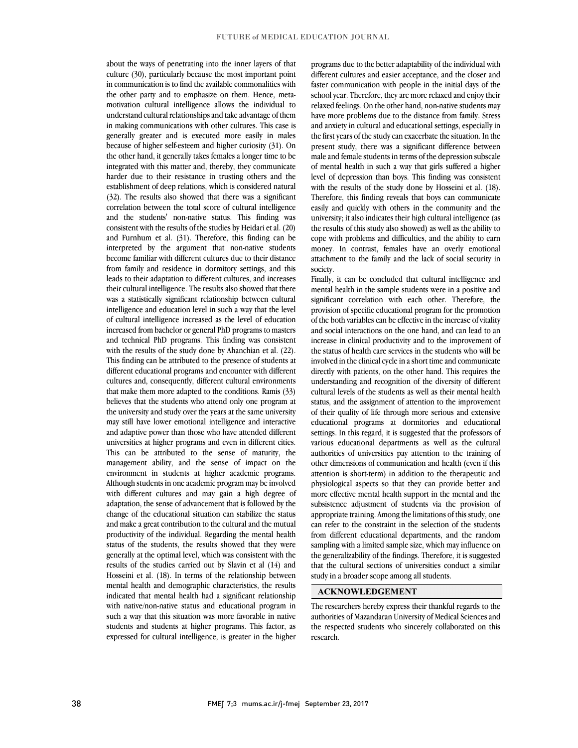about the ways of penetrating into the inner layers of that culture (30), particularly because the most important point in communication is to find the available commonalities with the other party and to emphasize on them. Hence, metamotivation cultural intelligence allows the individual to understand cultural relationships and take advantage of them in making communications with other cultures. This case is generally greater and is executed more easily in males because of higher self-esteem and higher curiosity (31). On the other hand, it generally takes females a longer time to be integrated with this matter and, thereby, they communicate harder due to their resistance in trusting others and the establishment of deep relations, which is considered natural (32). The results also showed that there was a significant correlation between the total score of cultural intelligence and the students' non-native status. This finding was consistent with the results of the studies by Heidari et al. (20) and Furnhum et al. (31). Therefore, this finding can be interpreted by the argument that non-native students become familiar with different cultures due to their distance from family and residence in dormitory settings, and this leads to their adaptation to different cultures, and increases their cultural intelligence. The results also showed that there was a statistically significant relationship between cultural intelligence and education level in such a way that the level of cultural intelligence increased as the level of education increased from bachelor or general PhD programs to masters and technical PhD programs. This finding was consistent with the results of the study done by Ahanchian et al. (22). This finding can be attributed to the presence of students at different educational programs and encounter with different cultures and, consequently, different cultural environments that make them more adapted to the conditions. Ramis (33) believes that the students who attend only one program at the university and study over the years at the same university may still have lower emotional intelligence and interactive and adaptive power than those who have attended different universities at higher programs and even in different cities. This can be attributed to the sense of maturity, the management ability, and the sense of impact on the environment in students at higher academic programs. Although students in one academic program may be involved with different cultures and may gain a high degree of adaptation, the sense of advancement that is followed by the change of the educational situation can stabilize the status and make a great contribution to the cultural and the mutual productivity of the individual. Regarding the mental health status of the students, the results showed that they were generally at the optimal level, which was consistent with the results of the studies carried out by Slavin et al (14) and Hosseini et al. (18). In terms of the relationship between mental health and demographic characteristics, the results indicated that mental health had a significant relationship with native/non-native status and educational program in such a way that this situation was more favorable in native students and students at higher programs. This factor, as expressed for cultural intelligence, is greater in the higher

programs due to the better adaptability of the individual with different cultures and easier acceptance, and the closer and faster communication with people in the initial days of the school year. Therefore, they are more relaxed and enjoy their relaxed feelings. On the other hand, non-native students may have more problems due to the distance from family. Stress and anxiety in cultural and educational settings, especially in the first years of the study can exacerbate the situation. In the present study, there was a significant difference between male and female students in terms of the depression subscale of mental health in such a way that girls suffered a higher level of depression than boys. This finding was consistent with the results of the study done by Hosseini et al. (18). Therefore, this finding reveals that boys can communicate easily and quickly with others in the community and the university; it also indicates their high cultural intelligence (as the results of this study also showed) as well as the ability to cope with problems and difficulties, and the ability to earn money. In contrast, females have an overly emotional attachment to the family and the lack of social security in society.

Finally, it can be concluded that cultural intelligence and mental health in the sample students were in a positive and significant correlation with each other. Therefore, the provision of specific educational program for the promotion of the both variables can be effective in the increase of vitality and social interactions on the one hand, and can lead to an increase in clinical productivity and to the improvement of the status of health care services in the students who will be involved in the clinical cycle in ashort time and communicate directly with patients, on the other hand. This requires the understanding and recognition of the diversity of different cultural levels of the students as well as their mental health status, and the assignment of attention to the improvement of their quality of life through more serious and extensive educational programs at dormitories and educational settings. In this regard, it is suggested that the professors of various educational departments as well as the cultural authorities of universities pay attention to the training of other dimensions of communication and health (even if this attention is short-term) in addition to the therapeutic and physiological aspects so that they can provide better and more effective mental health support in the mental and the subsistence adjustment of students via the provision of appropriate training. Among the limitations of this study, one can refer to the constraint in the selection of the students from different educational departments, and the random sampling with a limited sample size, which may influence on the generalizability of the findings. Therefore, it is suggested that the cultural sections of universities conduct a similar study in a broader scope among all students.

## **ACKNOWLEDGEMENT**

The researchers hereby express their thankful regards to the authorities of Mazandaran University of Medical Sciences and the respected students who sincerely collaborated on this research.